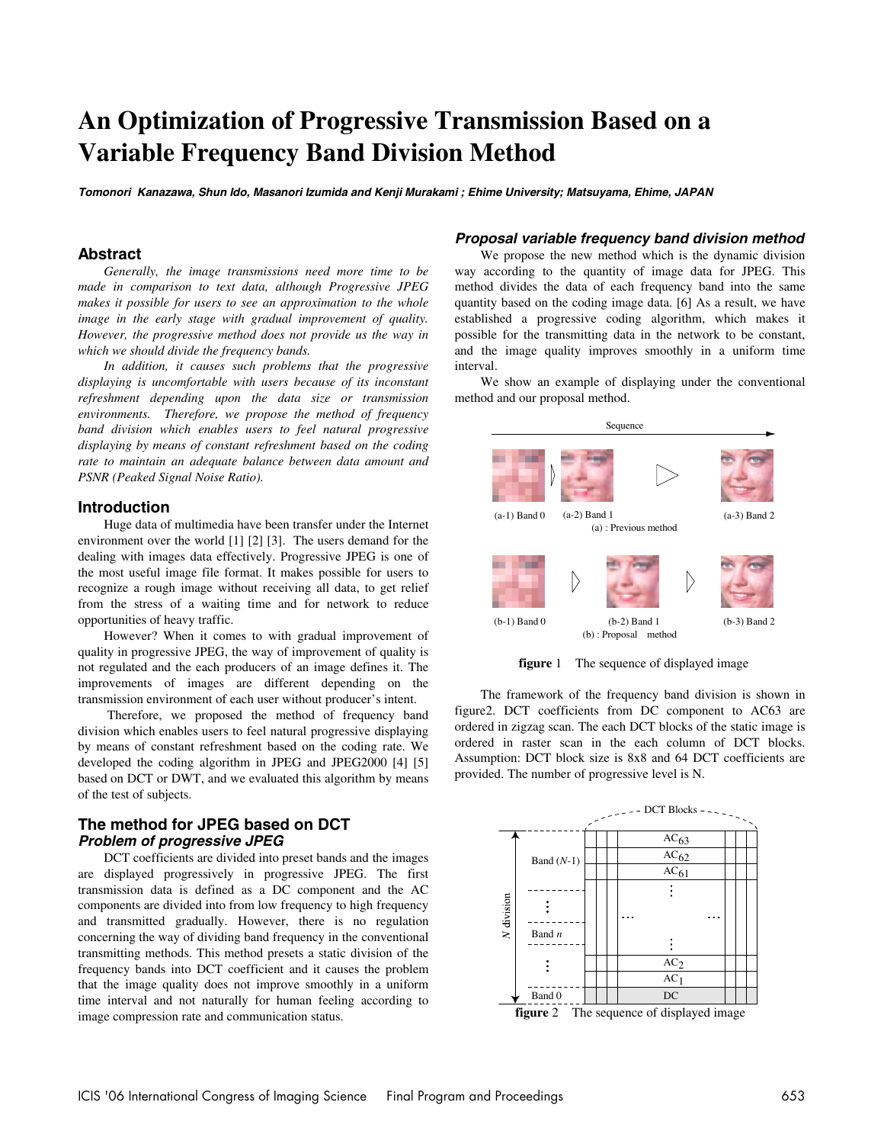# **An Optimization of Progressive Transmission Based on a Variable Frequency Band Division Method**

**Tomonori Kanazawa, Shun Ido, Masanori Izumida and Kenji Murakami ; Ehime University; Matsuyama, Ehime, JAPAN** 

# **Abstract**

*Generally, the image transmissions need more time to be made in comparison to text data, although Progressive JPEG makes it possible for users to see an approximation to the whole image in the early stage with gradual improvement of quality. However, the progressive method does not provide us the way in which we should divide the frequency bands.* 

*In addition, it causes such problems that the progressive displaying is uncomfortable with users because of its inconstant refreshment depending upon the data size or transmission environments. Therefore, we propose the method of frequency band division which enables users to feel natural progressive displaying by means of constant refreshment based on the coding rate to maintain an adequate balance between data amount and PSNR (Peaked Signal Noise Ratio).* 

#### **Introduction**

Huge data of multimedia have been transfer under the Internet environment over the world [1] [2] [3]. The users demand for the dealing with images data effectively. Progressive JPEG is one of the most useful image file format. It makes possible for users to recognize a rough image without receiving all data, to get relief from the stress of a waiting time and for network to reduce opportunities of heavy traffic.

However? When it comes to with gradual improvement of quality in progressive JPEG, the way of improvement of quality is not regulated and the each producers of an image defines it. The improvements of images are different depending on the transmission environment of each user without producer's intent.

 Therefore, we proposed the method of frequency band division which enables users to feel natural progressive displaying by means of constant refreshment based on the coding rate. We developed the coding algorithm in JPEG and JPEG2000 [4] [5] based on DCT or DWT, and we evaluated this algorithm by means of the test of subjects.

# **The method for JPEG based on DCT Problem of progressive JPEG**

DCT coefficients are divided into preset bands and the images are displayed progressively in progressive JPEG. The first transmission data is defined as a DC component and the AC components are divided into from low frequency to high frequency and transmitted gradually. However, there is no regulation concerning the way of dividing band frequency in the conventional transmitting methods. This method presets a static division of the frequency bands into DCT coefficient and it causes the problem that the image quality does not improve smoothly in a uniform time interval and not naturally for human feeling according to image compression rate and communication status.

#### **Proposal variable frequency band division method**

We propose the new method which is the dynamic division way according to the quantity of image data for JPEG. This method divides the data of each frequency band into the same quantity based on the coding image data. [6] As a result, we have established a progressive coding algorithm, which makes it possible for the transmitting data in the network to be constant, and the image quality improves smoothly in a uniform time interval.

We show an example of displaying under the conventional method and our proposal method.



**figure** 1 The sequence of displayed image

The framework of the frequency band division is shown in figure2. DCT coefficients from DC component to AC63 are ordered in zigzag scan. The each DCT blocks of the static image is ordered in raster scan in the each column of DCT blocks. Assumption: DCT block size is 8x8 and 64 DCT coefficients are provided. The number of progressive level is N.



**figure** 2 The sequence of displayed image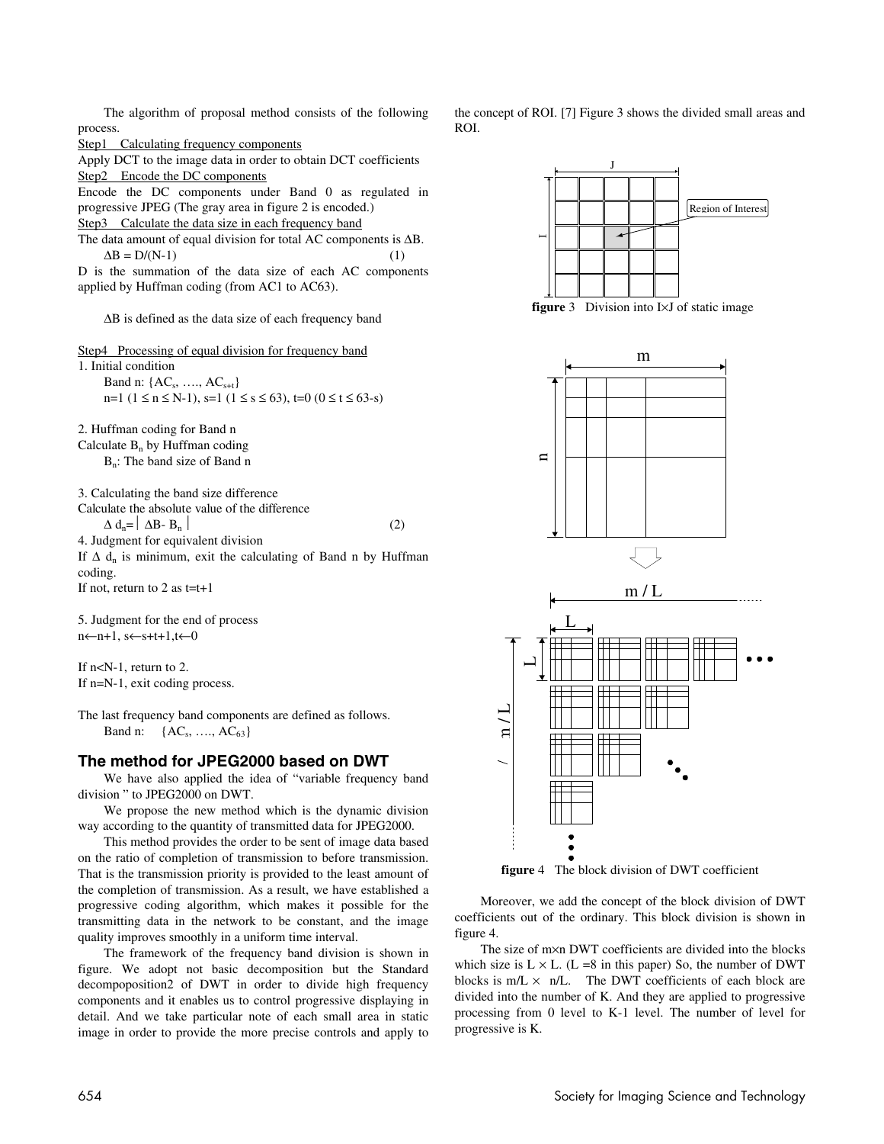The algorithm of proposal method consists of the following process.

Step1 Calculating frequency components

Apply DCT to the image data in order to obtain DCT coefficients Step2 Encode the DC components

Encode the DC components under Band 0 as regulated in progressive JPEG (The gray area in figure 2 is encoded.)

Step3 Calculate the data size in each frequency band

The data amount of equal division for total AC components is ∆B.  $\Delta B = D/(N-1)$  (1)

D is the summation of the data size of each AC components applied by Huffman coding (from AC1 to AC63).

∆B is defined as the data size of each frequency band

Step4 Processing of equal division for frequency band 1. Initial condition Band n:  ${AC_s, ..., AC_{s+t}}$ n=1 (1 ≤ n ≤ N-1), s=1 (1 ≤ s ≤ 63), t=0 (0 ≤ t ≤ 63-s)

2. Huffman coding for Band n Calculate  $B_n$  by Huffman coding B<sub>n</sub>: The band size of Band n

3. Calculating the band size difference Calculate the absolute value of the difference  $\Delta d_n = |\Delta B - B_n|$  (2) 4. Judgment for equivalent division If  $\Delta$  d<sub>n</sub> is minimum, exit the calculating of Band n by Huffman coding. If not, return to 2 as  $t=t+1$ 

5. Judgment for the end of process n←n+1, s←s+t+1,t←0

If n<N-1, return to 2. If n=N-1, exit coding process.

The last frequency band components are defined as follows. Band n:  ${AC_s, ..., AC_{63}}$ 

## **The method for JPEG2000 based on DWT**

We have also applied the idea of "variable frequency band division " to JPEG2000 on DWT.

We propose the new method which is the dynamic division way according to the quantity of transmitted data for JPEG2000.

This method provides the order to be sent of image data based on the ratio of completion of transmission to before transmission. That is the transmission priority is provided to the least amount of the completion of transmission. As a result, we have established a progressive coding algorithm, which makes it possible for the transmitting data in the network to be constant, and the image quality improves smoothly in a uniform time interval.

The framework of the frequency band division is shown in figure. We adopt not basic decomposition but the Standard decompoposition2 of DWT in order to divide high frequency components and it enables us to control progressive displaying in detail. And we take particular note of each small area in static image in order to provide the more precise controls and apply to the concept of ROI. [7] Figure 3 shows the divided small areas and ROI.



**figure** 3 Division into I×J of static image



**figure** 4 The block division of DWT coefficient

Moreover, we add the concept of the block division of DWT coefficients out of the ordinary. This block division is shown in figure 4.

The size of m×n DWT coefficients are divided into the blocks which size is  $L \times L$ . (L =8 in this paper) So, the number of DWT blocks is  $m/L \times n/L$ . The DWT coefficients of each block are divided into the number of K. And they are applied to progressive processing from 0 level to K-1 level. The number of level for progressive is K.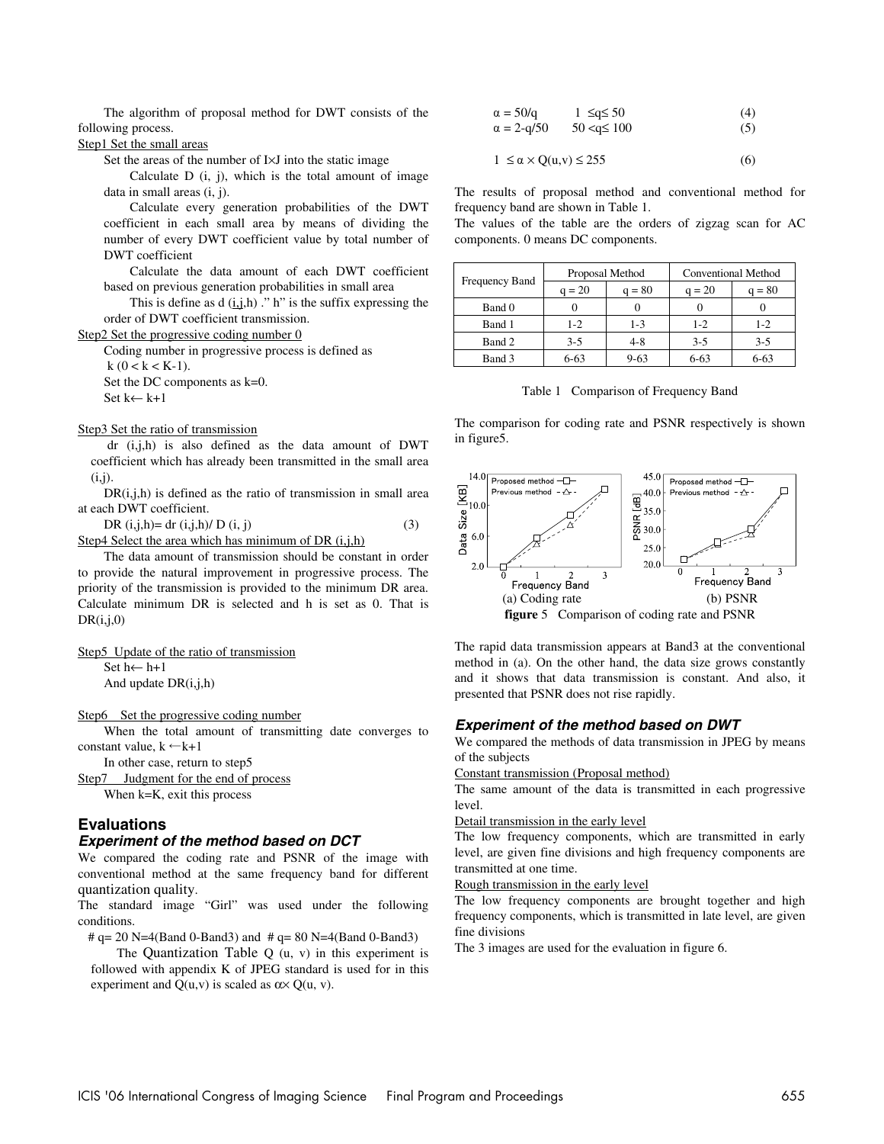The algorithm of proposal method for DWT consists of the following process.

# Step1 Set the small areas

Set the areas of the number of I×J into the static image

Calculate  $D$  (i, j), which is the total amount of image data in small areas (i, j).

Calculate every generation probabilities of the DWT coefficient in each small area by means of dividing the number of every DWT coefficient value by total number of DWT coefficient

Calculate the data amount of each DWT coefficient based on previous generation probabilities in small area

This is define as  $d(i,j,h)$ ." h" is the suffix expressing the order of DWT coefficient transmission.

Step2 Set the progressive coding number 0

Coding number in progressive process is defined as  $k (0 < k < K-1)$ . Set the DC components as k=0.

Set k← k+1

#### Step3 Set the ratio of transmission

 dr (i,j,h) is also defined as the data amount of DWT coefficient which has already been transmitted in the small area  $(i,i)$ .

 $DR(i,j,h)$  is defined as the ratio of transmission in small area at each DWT coefficient.

DR  $(i,j,h)=$  dr  $(i,j,h)/$  D  $(i, j)$  (3) Step4 Select the area which has minimum of DR (i,j,h)

The data amount of transmission should be constant in order to provide the natural improvement in progressive process. The priority of the transmission is provided to the minimum DR area. Calculate minimum DR is selected and h is set as 0. That is  $DR(i,j,0)$ 

Step5 Update of the ratio of transmission

Set h← h+1 And update DR(i,j,h)

Step6 Set the progressive coding number

When the total amount of transmitting date converges to constant value,  $k \leftarrow k+1$ 

In other case, return to step5

Step7 Judgment for the end of process When k=K, exit this process

# **Evaluations**

# **Experiment of the method based on DCT**

We compared the coding rate and PSNR of the image with conventional method at the same frequency band for different quantization quality.

The standard image "Girl" was used under the following conditions.

#  $q = 20$  N=4(Band 0-Band3) and #  $q = 80$  N=4(Band 0-Band3)

The Quantization Table  $Q(u, v)$  in this experiment is followed with appendix K of JPEG standard is used for in this experiment and  $Q(u, v)$  is scaled as  $\alpha \times Q(u, v)$ .

$$
\alpha = 50/q \qquad 1 \leq q \leq 50 \tag{4}
$$
  
\n
$$
\alpha = 2 - q/50 \qquad 50 < q \leq 100 \tag{5}
$$

$$
1 \le \alpha \times Q(u, v) \le 255 \tag{6}
$$

The results of proposal method and conventional method for frequency band are shown in Table 1.

The values of the table are the orders of zigzag scan for AC components. 0 means DC components.

| Frequency Band | Proposal Method |          | Conventional Method |          |
|----------------|-----------------|----------|---------------------|----------|
|                | $q = 20$        | $q = 80$ | $q = 20$            | $q = 80$ |
| Band 0         |                 |          |                     |          |
| Band 1         | 1-2             | 1-3      | $1-2$               | 1-2      |
| Band 2         | $3-5$           | $4 - 8$  | $3-5$               | $3-5$    |
| Band 3         | $6 - 63$        | $9 - 63$ | $6 - 63$            | $6 - 63$ |

Table 1 Comparison of Frequency Band

The comparison for coding rate and PSNR respectively is shown in figure5.



The rapid data transmission appears at Band3 at the conventional method in (a). On the other hand, the data size grows constantly and it shows that data transmission is constant. And also, it presented that PSNR does not rise rapidly.

#### **Experiment of the method based on DWT**

We compared the methods of data transmission in JPEG by means of the subjects

Constant transmission (Proposal method)

The same amount of the data is transmitted in each progressive level.

#### Detail transmission in the early level

The low frequency components, which are transmitted in early level, are given fine divisions and high frequency components are transmitted at one time.

Rough transmission in the early level

The low frequency components are brought together and high frequency components, which is transmitted in late level, are given fine divisions

The 3 images are used for the evaluation in figure 6.